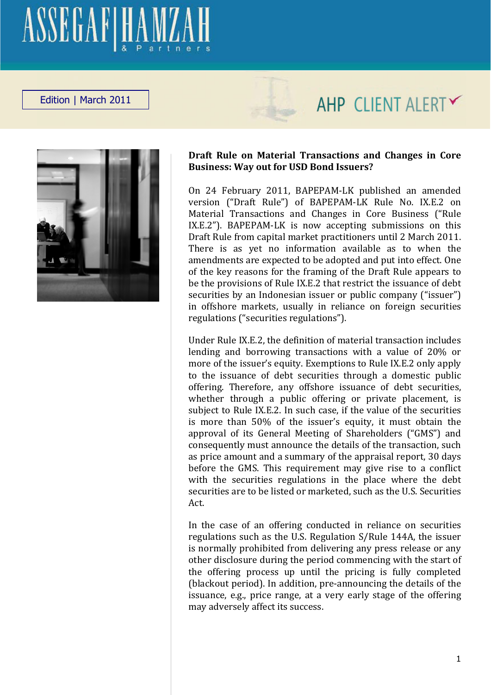### AHP CLIENT ALERTY



### Edition | March 2011



#### **Draft Rule on Material Transactions and Changes in Core Business: Way out for USD Bond Issuers?**

On 24 February 2011, BAPEPAM‐LK published an amended version ("Draft Rule") of BAPEPAM‐LK Rule No. IX.E.2 on Material Transactions and Changes in Core Business ("Rule IX.E.2"). BAPEPAM-LK is now accepting submissions on this Draft Rule from capital market practitioners until 2 March 2011. There is as yet no information available as to when the amendments are expected to be adopted and put into effect. One of the key reasons for the framing of the Draft Rule appears to be the provisions of Rule IX.E.2 that restrict the issuance of debt securities by an Indonesian issuer or public company ("issuer") in offshore markets, usually in reliance on foreign securities regulations ("securities regulations").

Under Rule IX.E.2, the definition of material transaction includes lending and borrowing transactions with a value of 20% or more of the issuer's equity. Exemptions to Rule IX.E.2 only apply to the issuance of debt securities through a domestic public offering. Therefore, any offshore issuance of debt securities, whether through a public offering or private placement, is subject to Rule IX.E.2. In such case, if the value of the securities is more than 50% of the issuer's equity, it must obtain the approval of its General Meeting of Shareholders ("GMS") and consequently must announce the details of the transaction, such as price amount and a summary of the appraisal report, 30 days before the GMS. This requirement may give rise to a conflict with the securities regulations in the place where the debt securities are to be listed or marketed, such as the U.S. Securities Act.

In the case of an offering conducted in reliance on securities regulations such as the U.S. Regulation S/Rule 144A, the issuer is normally prohibited from delivering any press release or any other disclosure during the period commencing with the start of the offering process up until the pricing is fully completed (blackout period). In addition, pre‐announcing the details of the issuance, e.g., price range, at a very early stage of the offering may adversely affect its success.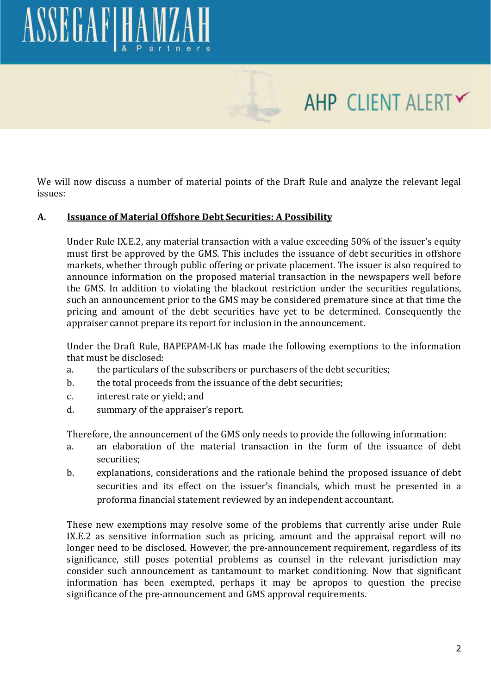# ASSEGAF HAMZA

## AHP CLIENT ALERTY

We will now discuss a number of material points of the Draft Rule and analyze the relevant legal issues:

### **A. Issuance of Material Offshore Debt Securities: A Possibility**

Under Rule IX.E.2, any material transaction with a value exceeding 50% of the issuer's equity must first be approved by the GMS. This includes the issuance of debt securities in offshore markets, whether through public offering or private placement. The issuer is also required to announce information on the proposed material transaction in the newspapers well before the GMS. In addition to violating the blackout restriction under the securities regulations, such an announcement prior to the GMS may be considered premature since at that time the pricing and amount of the debt securities have yet to be determined. Consequently the appraiser cannot prepare its report for inclusion in the announcement.

Under the Draft Rule, BAPEPAM‐LK has made the following exemptions to the information that must be disclosed:

- a. the particulars of the subscribers or purchasers of the debt securities;
- b. the total proceeds from the issuance of the debt securities;
- c. interest rate or yield; and
- d. summary of the appraiser's report.

Therefore, the announcement of the GMS only needs to provide the following information:

- a. an elaboration of the material transaction in the form of the issuance of debt securities;
- b. explanations, considerations and the rationale behind the proposed issuance of debt securities and its effect on the issuer's financials, which must be presented in a proforma financial statement reviewed by an independent accountant.

These new exemptions may resolve some of the problems that currently arise under Rule IX.E.2 as sensitive information such as pricing, amount and the appraisal report will no longer need to be disclosed. However, the pre-announcement requirement, regardless of its significance, still poses potential problems as counsel in the relevant jurisdiction may consider such announcement as tantamount to market conditioning. Now that significant information has been exempted, perhaps it may be apropos to question the precise significance of the pre-announcement and GMS approval requirements.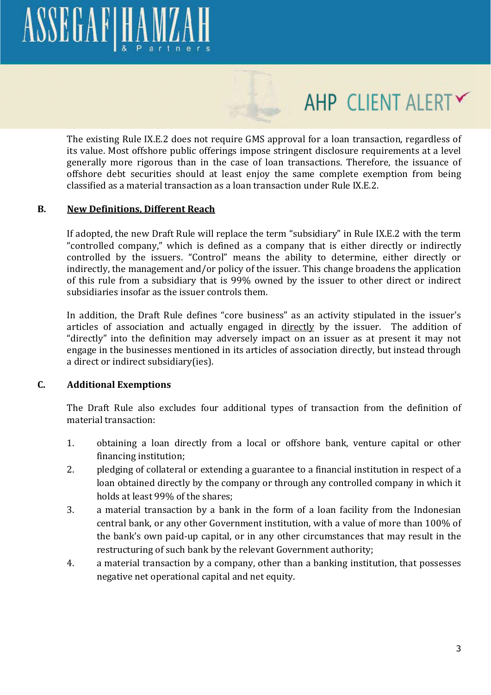

### AHP CLIENT ALERTY

The existing Rule IX.E.2 does not require GMS approval for a loan transaction, regardless of its value. Most offshore public offerings impose stringent disclosure requirements at a level generally more rigorous than in the case of loan transactions. Therefore, the issuance of offshore debt securities should at least enjoy the same complete exemption from being classified as a material transaction as a loan transaction under Rule IX.E.2.

### **B. New Definitions, Different Reach**

If adopted, the new Draft Rule will replace the term "subsidiary" in Rule IX.E.2 with the term "controlled company," which is defined as a company that is either directly or indirectly controlled by the issuers. "Control" means the ability to determine, either directly or indirectly, the management and/or policy of the issuer. This change broadens the application of this rule from a subsidiary that is 99% owned by the issuer to other direct or indirect subsidiaries insofar as the issuer controls them.

In addition, the Draft Rule defines "core business" as an activity stipulated in the issuer's articles of association and actually engaged in directly by the issuer. The addition of "directly" into the definition may adversely impact on an issuer as at present it may not engage in the businesses mentioned in its articles of association directly, but instead through a direct or indirect subsidiary(ies).

### **C. Additional Exemptions**

The Draft Rule also excludes four additional types of transaction from the definition of material transaction:

- 1. obtaining a loan directly from a local or offshore bank, venture capital or other financing institution;
- 2. pledging of collateral or extending a guarantee to a financial institution in respect of a loan obtained directly by the company or through any controlled company in which it holds at least 99% of the shares;
- 3. a material transaction by a bank in the form of a loan facility from the Indonesian central bank, or any other Government institution, with a value of more than 100% of the bank's own paid‐up capital, or in any other circumstances that may result in the restructuring of such bank by the relevant Government authority;
- 4. a material transaction by a company, other than a banking institution, that possesses negative net operational capital and net equity.